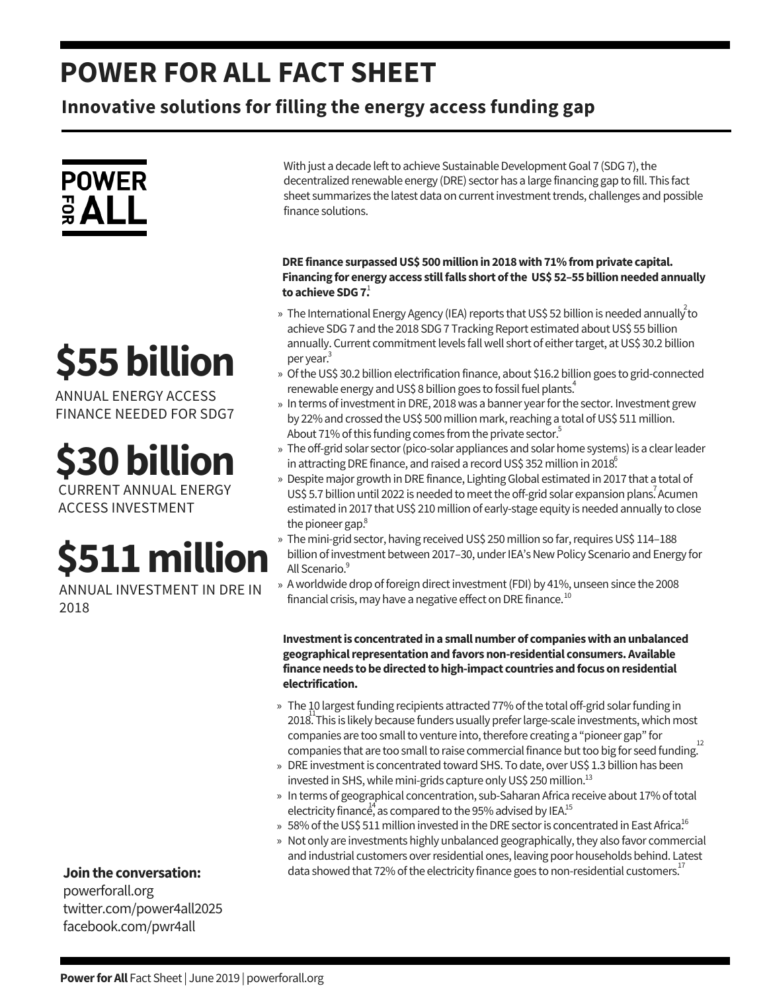### **POWER FOR ALL FACT SHEET**

**Innovative solutions for filling the energy access funding gap**



# **\$55billion**

ANNUAL ENERGY ACCESS FINANCE NEEDED FOR SDG7

### **\$30billion**

CURRENT ANNUAL ENERGY ACCESS INVESTMENT

## **\$511million**

ANNUAL INVESTMENT IN DRE IN 2018

**Jointhe conversation:**

powerforall.org twitter.com/power4all2025 facebook.com/pwr4all

With just a decade left to achieve Sustainable Development Goal 7 (SDG 7), the decentralized renewable energy (DRE) sector has a large financing gap to fill. This fact sheet summarizes the latest data on currentinvestmenttrends, challenges and possible finance solutions.

#### **DRE finance surpassedUS\$ 500millionin2018with71%fromprivate capital. Financing for energy access stillfalls short ofthe US\$ 52–55billionneededannually to achieve SDG7.** 1

- » The International Energy Agency (IEA) reports that US\$ 52 billion is needed annually  $^{2}$ to achieve SDG 7 and the 2018 SDG 7 Tracking Report estimated about US\$ 55 billion annually. Current commitment levels fall well short of either target, at US\$ 30.2 billion per year. 3
- » Of the US\$ 30.2 billion electrification finance, about \$16.2 billion goes to grid-connected renewable energy and US\$ 8 billion goes to fossil fuel plants.<sup>4</sup>
- » In terms of investment in DRE, 2018 was a banner year for the sector. Investment grew by 22% and crossed the US\$ 500 million mark, reaching a total of US\$ 511 million. About 71% of this funding comes from the private sector.<sup>5</sup>
- » The off-grid solar sector (pico-solar appliances and solar home systems) is a clear leader in attracting DRE finance, and raised a record US\$ 352 million in 2018.
- » Despite major growth in DRE finance, Lighting Global estimated in 2017 that a total of US\$ 5.7 billion until 2022 is needed to meet the off-grid solar expansion plans. Acumen estimated in 2017 that US\$ 210 million of early-stage equity is needed annually to close the pioneer gap. 8
- » The mini-grid sector, having received US\$ 250 million so far, requires US\$ 114–188 billion of investment between 2017–30, under IEA's New Policy Scenario and Energy for All Scenario.<sup>9</sup>
- » A worldwide drop of foreign direct investment (FDI) by 41%, unseen since the 2008 financial crisis, may have a negative effect on DRE finance. $^{10}$

**Investmentis concentratedina smallnumber of companieswithanunbalanced geographicalrepresentationandfavorsnon-residential consumers.Available financeneeds tobedirectedtohigh-impact countries andfocus onresidential electrification.**

- » The 10 largest funding recipients attracted 77% of the total off-grid solar funding in 2018. This is likely because funders usually prefer large-scale investments, which most companies are too small to venture into, therefore creating a "pioneer gap" for companies that are too small to raise commercial finance but too big for seed funding.<sup>12</sup>
- » DRE investment is concentrated toward SHS. To date, over US\$ 1.3 billion has been invested in SHS, while mini-grids capture only US\$ 250 million.<sup>13</sup>
- » In terms of geographical concentration, sub-Saharan Africa receive about 17% of total electricity finance, as compared to the 95% advised by IEA.<sup>15</sup>
- » 58% of the US\$ 511 million invested in the DRE sector is concentrated in East Africa. $^{16}$
- » Not only are investments highly unbalanced geographically, they also favor commercial and industrial customers overresidential ones, leaving poor households behind. Latest data showed that 72% of the electricity finance goes to non-residential customers.<sup>17</sup>